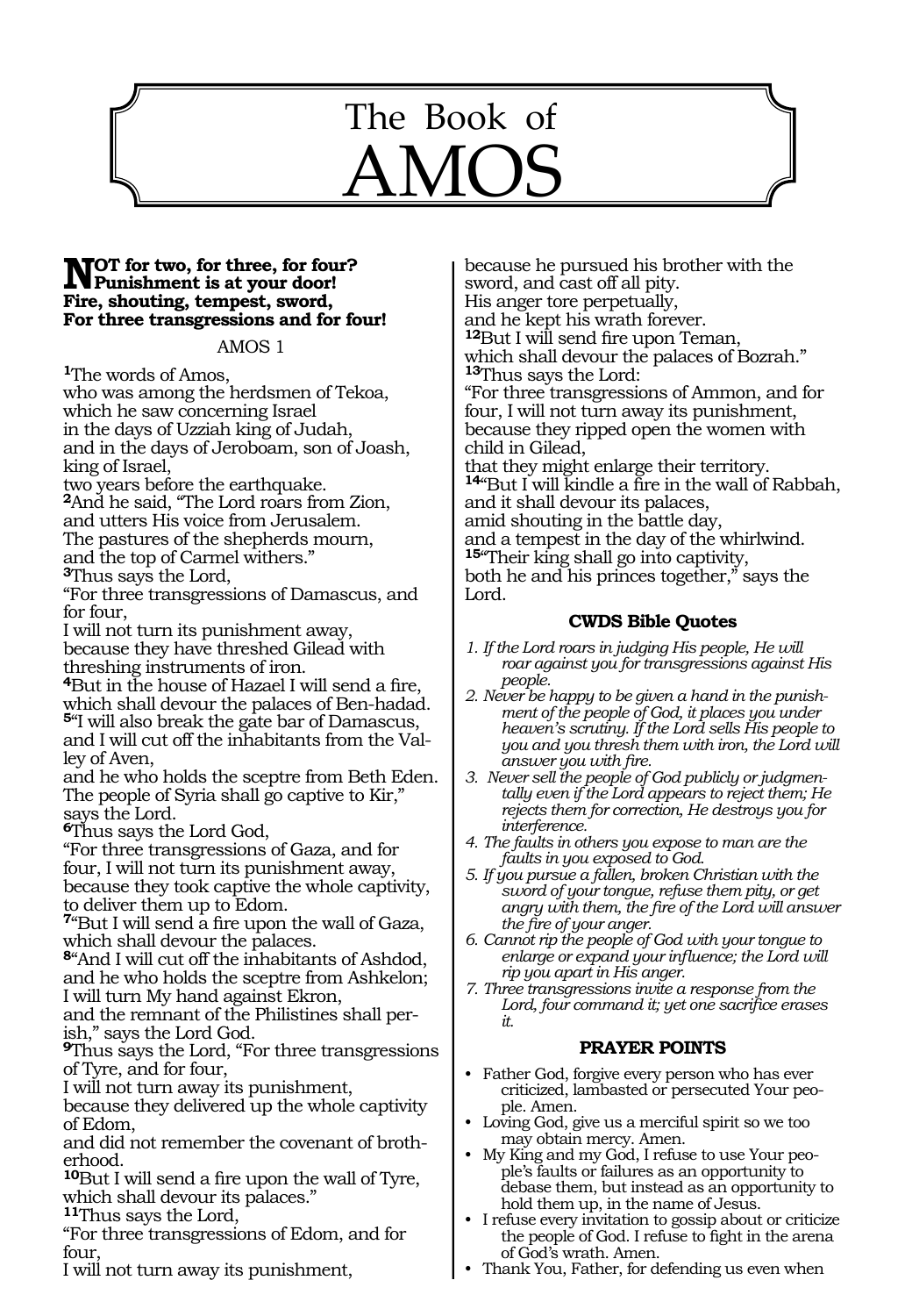# The Book of AMOS

1128

# **NOT** for two, for three, for four?<br> **Punishment is at your door! Fire, shouting, tempest, sword, For three transgressions and for four!**

#### AMOS 1

**<sup>1</sup>**The words of Amos, who was among the herdsmen of Tekoa, which he saw concerning Israel in the days of Uzziah king of Judah, and in the days of Jeroboam, son of Joash, king of Israel,

two years before the earthquake. **<sup>2</sup>**And he said, "The Lord roars from Zion, and utters His voice from Jerusalem. The pastures of the shepherds mourn, and the top of Carmel withers." **<sup>3</sup>**Thus says the Lord,

"For three transgressions of Damascus, and for four,

I will not turn its punishment away, because they have threshed Gilead with threshing instruments of iron.

**<sup>4</sup>**But in the house of Hazael I will send a fire, which shall devour the palaces of Ben-hadad. **<sup>5</sup>**"I will also break the gate bar of Damascus, and I will cut off the inhabitants from the Valley of Aven,

and he who holds the sceptre from Beth Eden. The people of Syria shall go captive to Kir," says the Lord.

**<sup>6</sup>**Thus says the Lord God,

"For three transgressions of Gaza, and for four, I will not turn its punishment away, because they took captive the whole captivity, to deliver them up to Edom.

**<sup>7</sup>**"But I will send a fire upon the wall of Gaza, which shall devour the palaces.

**<sup>8</sup>**"And I will cut off the inhabitants of Ashdod, and he who holds the sceptre from Ashkelon; I will turn My hand against Ekron,

and the remnant of the Philistines shall per- ish," says the Lord God.

**<sup>9</sup>**Thus says the Lord, "For three transgressions of Tyre, and for four,

I will not turn away its punishment,

because they delivered up the whole captivity of Edom,

and did not remember the covenant of broth- erhood.

**<sup>10</sup>**But I will send a fire upon the wall of Tyre, which shall devour its palaces."

**<sup>11</sup>**Thus says the Lord,

"For three transgressions of Edom, and for four,

I will not turn away its punishment,

because he pursued his brother with the sword, and cast off all pity. His anger tore perpetually, and he kept his wrath forever. **<sup>12</sup>**But I will send fire upon Teman, which shall devour the palaces of Bozrah." **<sup>13</sup>**Thus says the Lord: "For three transgressions of Ammon, and for four, I will not turn away its punishment, because they ripped open the women with child in Gilead, that they might enlarge their territory. **<sup>14</sup>**"But I will kindle a fire in the wall of Rabbah, and it shall devour its palaces, amid shouting in the battle day, and a tempest in the day of the whirlwind. **<sup>15</sup>**"Their king shall go into captivity, both he and his princes together," says the Lord.

## **CWDS Bible Quotes**

*1. If the Lord roars in judging His people, He will roar against you for transgressions against His people.* 

- *2. Never be happy to be given a hand in the punishment of the people of God, it places you under heaven's scrutiny. If the Lord sells His people to you and you thresh them with iron, the Lord will answer you with fire.*
- *3. Never sell the people of God publicly or judgmentally even if the Lord appears to reject them; He rejects them for correction, He destroys you for interference.*
- *4. The faults in others you expose to man are the faults in you exposed to God.*
- *5. If you pursue a fallen, broken Christian with the sword of your tongue, refuse them pity, or get angry with them, the fire of the Lord will answer the fire of your anger.*

*6. Cannot rip the people of God with your tongue to enlarge or expand your influence; the Lord will rip you apart in His anger.*

*7. Three transgressions invite a response from the Lord, four command it; yet one sacrifice erases it.*

#### **PRAYER POINTS**

- Father God, forgive every person who has ever criticized, lambasted or persecuted Your people. Amen.
- Loving God, give us a merciful spirit so we too may obtain mercy. Amen.
- My King and my God, I refuse to use Your people's faults or failures as an opportunity to debase them, but instead as an opportunity to hold them up, in the name of Jesus.
- I refuse every invitation to gossip about or criticize the people of God. I refuse to fight in the arena of God's wrath. Amen.
- Thank You, Father, for defending us even when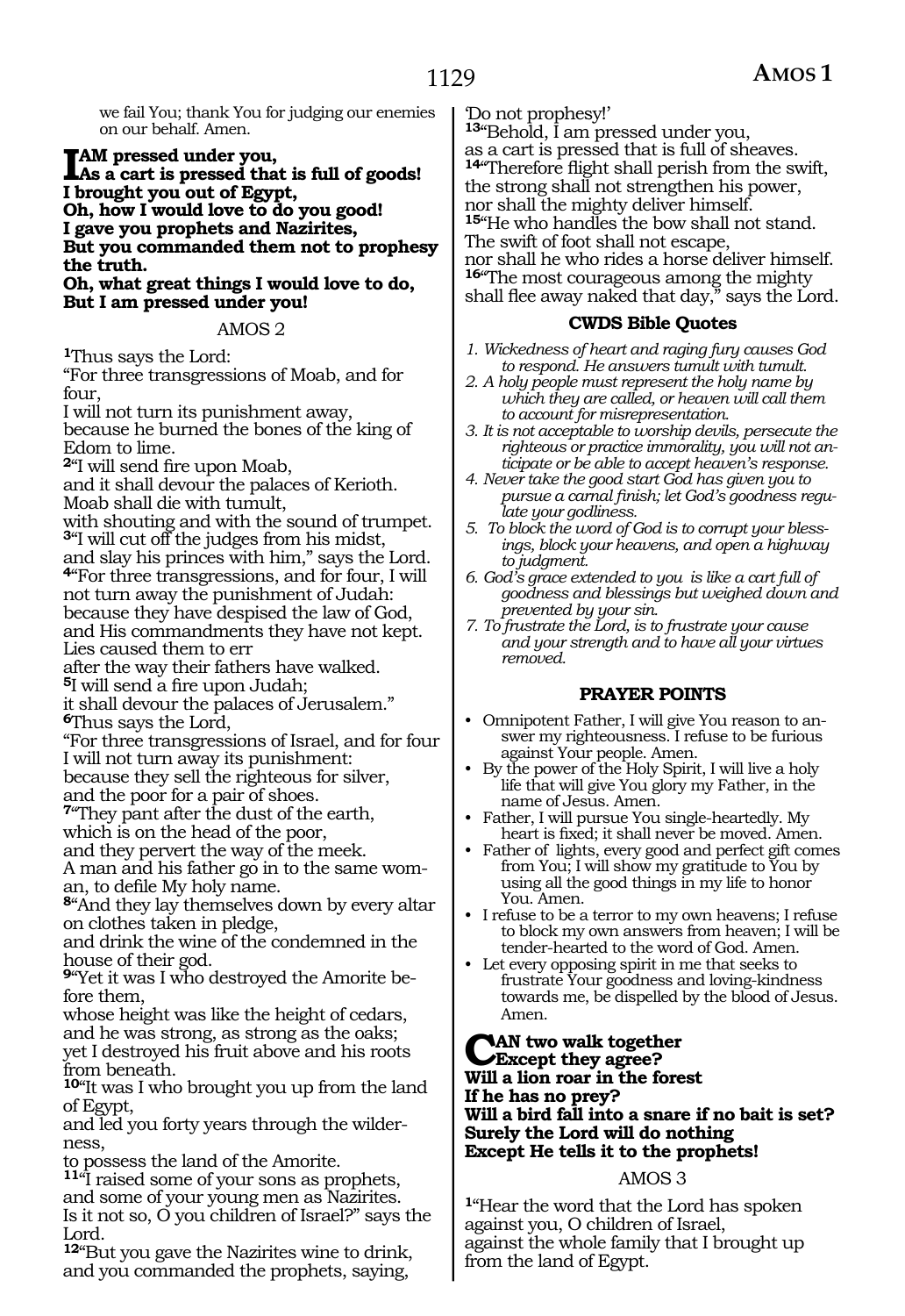we fail You; thank You for judging our enemies on our behalf. Amen.

**IAM pressed under you,<br>
As a cart is pressed that is full of goods!**<br> **I has get you gut of Fount I brought you out of Egypt, Oh, how I would love to do you good! I gave you prophets and Nazirites, But you commanded them not to prophesy the truth.**

**Oh, what great things I would love to do, But I am pressed under you!**

AMOS 2

**<sup>1</sup>**Thus says the Lord:

"For three transgressions of Moab, and for four,

I will not turn its punishment away, because he burned the bones of the king of Edom to lime.

**<sup>2</sup>**"I will send fire upon Moab,

and it shall devour the palaces of Kerioth. Moab shall die with tumult,

with shouting and with the sound of trumpet. **<sup>3</sup>**"I will cut off the judges from his midst, and slay his princes with him," says the Lord. **<sup>4</sup>**"For three transgressions, and for four, I will not turn away the punishment of Judah: because they have despised the law of God,

and His commandments they have not kept. Lies caused them to err

after the way their fathers have walked.

**<sup>5</sup>**I will send a fire upon Judah;

it shall devour the palaces of Jerusalem." **<sup>6</sup>**Thus says the Lord,

"For three transgressions of Israel, and for four I will not turn away its punishment: because they sell the righteous for silver,

and the poor for a pair of shoes.

**<sup>7</sup>**"They pant after the dust of the earth,

which is on the head of the poor, and they pervert the way of the meek.

A man and his father go in to the same woman, to defile My holy name.

**<sup>8</sup>**"And they lay themselves down by every altar on clothes taken in pledge,

and drink the wine of the condemned in the house of their god.

**9**"Yet it was I who destroyed the Amorite before them,

whose height was like the height of cedars, and he was strong, as strong as the oaks; yet I destroyed his fruit above and his roots from beneath.

**<sup>10</sup>**"It was I who brought you up from the land of Egypt,

and led you forty years through the wilderness,

to possess the land of the Amorite.

**<sup>11</sup>**"I raised some of your sons as prophets, and some of your young men as Nazirites. Is it not so, O you children of Israel?" says the Lord.

**<sup>12</sup>**"But you gave the Nazirites wine to drink, and you commanded the prophets, saying,

'Do not prophesy!'

**<sup>13</sup>**"Behold, I am pressed under you, as a cart is pressed that is full of sheaves. **<sup>14</sup>**"Therefore flight shall perish from the swift, the strong shall not strengthen his power, nor shall the mighty deliver himself. **<sup>15</sup>**"He who handles the bow shall not stand. The swift of foot shall not escape, nor shall he who rides a horse deliver himself. **<sup>16</sup>**"The most courageous among the mighty shall flee away naked that day," says the Lord.

#### **CWDS Bible Quotes**

- *1. Wickedness of heart and raging fury causes God to respond. He answers tumult with tumult.*
- *2. A holy people must represent the holy name by which they are called, or heaven will call them to account for misrepresentation.*
- *3. It is not acceptable to worship devils, persecute the righteous or practice immorality, you will not anticipate or be able to accept heaven's response.*
- *4. Never take the good start God has given you to pursue a carnal finish; let God's goodness regulate your godliness.*
- *5. To block the word of God is to corrupt your blessings, block your heavens, and open a highway to judgment.*
- *6. God's grace extended to you is like a cart full of goodness and blessings but weighed down and prevented by your sin.*
- *7. To frustrate the Lord, is to frustrate your cause and your strength and to have all your virtues removed.*

# **PRAYER POINTS**

- Omnipotent Father, I will give You reason to answer my righteousness. I refuse to be furious against Your people. Amen.
- By the power of the Holy Spirit, I will live a holy life that will give You glory my Father, in the name of Jesus. Amen.
- Father, I will pursue You single-heartedly. My heart is fixed; it shall never be moved. Amen.
- Father of lights, every good and perfect gift comes from You; I will show my gratitude to You by using all the good things in my life to honor You. Amen.
- I refuse to be a terror to my own heavens; I refuse to block my own answers from heaven; I will be tender-hearted to the word of God. Amen.
- Let every opposing spirit in me that seeks to frustrate Your goodness and loving-kindness towards me, be dispelled by the blood of Jesus. Amen.

#### **Can two walk together Except they agree? Will a lion roar in the forest If he has no prey? Will a bird fall into a snare if no bait is set? Surely the Lord will do nothing Except He tells it to the prophets!**

#### AMOS 3

**<sup>1</sup>**"Hear the word that the Lord has spoken against you, O children of Israel, against the whole family that I brought up from the land of Egypt.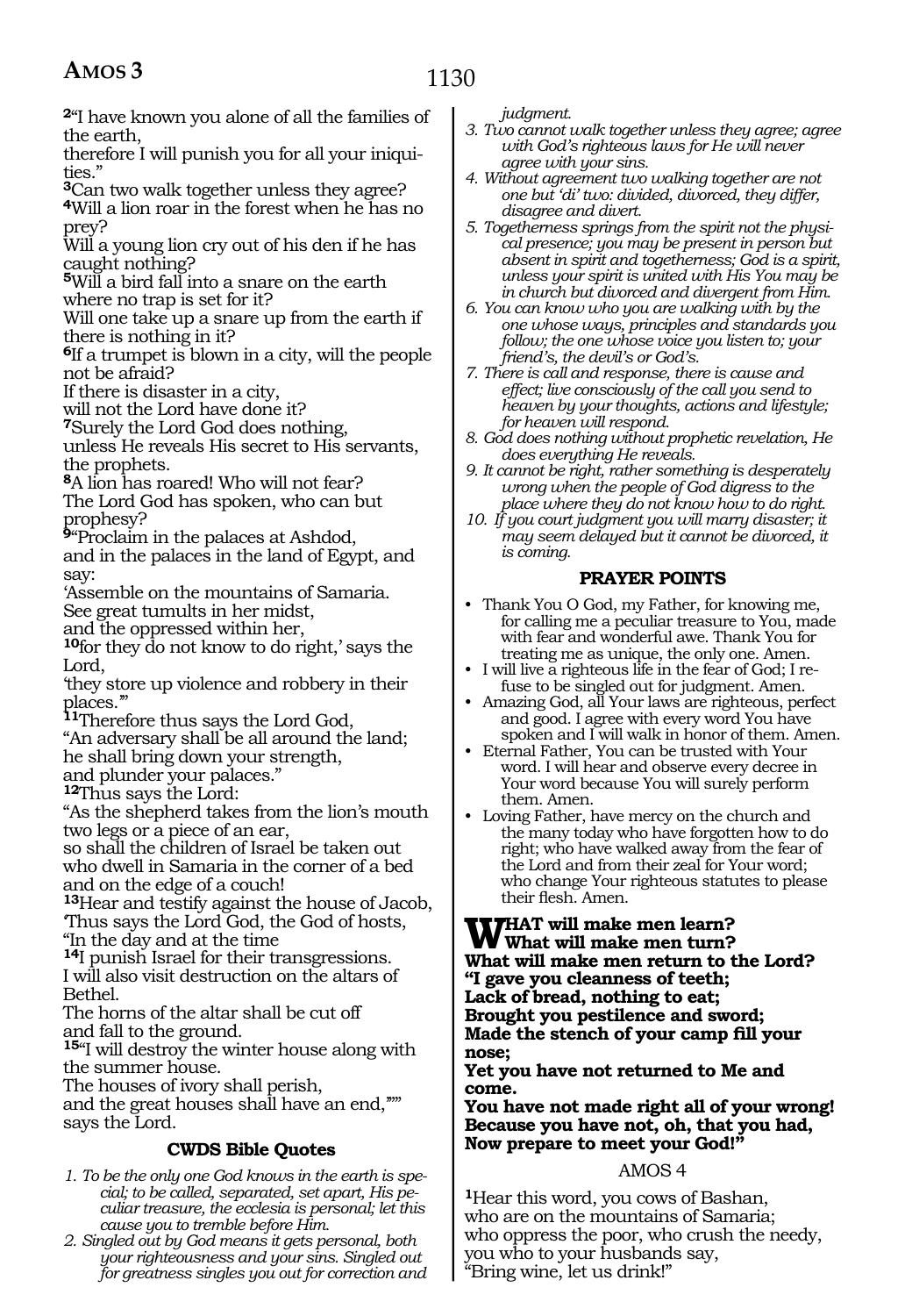# 1130

**<sup>2</sup>**"I have known you alone of all the families of the earth,

therefore I will punish you for all your iniquities."

**<sup>3</sup>**Can two walk together unless they agree? **<sup>4</sup>**Will a lion roar in the forest when he has no prey?

Will a young lion cry out of his den if he has caught nothing?

**<sup>5</sup>**Will a bird fall into a snare on the earth where no trap is set for it?

Will one take up a snare up from the earth if there is nothing in it?

**<sup>6</sup>**If a trumpet is blown in a city, will the people not be afraid?

If there is disaster in a city,

will not the Lord have done it?

**<sup>7</sup>**Surely the Lord God does nothing,

unless He reveals His secret to His servants, the prophets.

**<sup>8</sup>**A lion has roared! Who will not fear? The Lord God has spoken, who can but prophesy?

**<sup>9</sup>**"Proclaim in the palaces at Ashdod, and in the palaces in the land of Egypt, and say:

'Assemble on the mountains of Samaria. See great tumults in her midst,

and the oppressed within her,

**<sup>10</sup>**for they do not know to do right,' says the Lord,

'they store up violence and robbery in their places.'"

**<sup>11</sup>**Therefore thus says the Lord God, "An adversary shall be all around the land;

he shall bring down your strength, and plunder your palaces."

**<sup>12</sup>**Thus says the Lord:

"As the shepherd takes from the lion's mouth two legs or a piece of an ear,

so shall the children of Israel be taken out who dwell in Samaria in the corner of a bed and on the edge of a couch!

**<sup>13</sup>**Hear and testify against the house of Jacob, 'Thus says the Lord God, the God of hosts, "In the day and at the time

**<sup>14</sup>**I punish Israel for their transgressions. I will also visit destruction on the altars of Bethel.

The horns of the altar shall be cut off and fall to the ground.

**<sup>15</sup>**"I will destroy the winter house along with the summer house.

The houses of ivory shall perish,

and the great houses shall have an end,'"" says the Lord.

# **CWDS Bible Quotes**

- *1. To be the only one God knows in the earth is special; to be called, separated, set apart, His peculiar treasure, the ecclesia is personal; let this cause you to tremble before Him.*
- *2. Singled out by God means it gets personal, both your righteousness and your sins. Singled out for greatness singles you out for correction and*

*judgment.*

- *3. Two cannot walk together unless they agree; agree with God's righteous laws for He will never agree with your sins.*
- *4. Without agreement two walking together are not one but 'di' two: divided, divorced, they differ, disagree and divert.*
- *5. Togetherness springs from the spirit not the physical presence; you may be present in person but absent in spirit and togetherness; God is a spirit, unless your spirit is united with His You may be in church but divorced and divergent from Him.*
- *6. You can know who you are walking with by the one whose ways, principles and standards you follow; the one whose voice you listen to; your friend's, the devil's or God's.*
- *7. There is call and response, there is cause and effect; live consciously of the call you send to heaven by your thoughts, actions and lifestyle; for heaven will respond.*
- *8. God does nothing without prophetic revelation, He does everything He reveals.*
- *9. It cannot be right, rather something is desperately wrong when the people of God digress to the place where they do not know how to do right.*
- *10. If you court judgment you will marry disaster; it may seem delayed but it cannot be divorced, it is coming.*

# **PRAYER POINTS**

- Thank You O God, my Father, for knowing me, for calling me a peculiar treasure to You, made with fear and wonderful awe. Thank You for treating me as unique, the only one. Amen.
- I will live a righteous life in the fear of God; I refuse to be singled out for judgment. Amen.
- Amazing God, all Your laws are righteous, perfect and good. I agree with every word You have spoken and I will walk in honor of them. Amen.
- Eternal Father, You can be trusted with Your word. I will hear and observe every decree in Your word because You will surely perform them. Amen.
- Loving Father, have mercy on the church and the many today who have forgotten how to do right; who have walked away from the fear of the Lord and from their zeal for Your word; who change Your righteous statutes to please their flesh. Amen.

**WHAT will make men learn? What will make men turn? What will make men return to the Lord? "I gave you cleanness of teeth; Lack of bread, nothing to eat; Brought you pestilence and sword; Made the stench of your camp fill your nose;**

**Yet you have not returned to Me and come.**

**You have not made right all of your wrong! Because you have not, oh, that you had, Now prepare to meet your God!"**

# AMOS 4

**<sup>1</sup>**Hear this word, you cows of Bashan, who are on the mountains of Samaria; who oppress the poor, who crush the needy, you who to your husbands say, "Bring wine, let us drink!"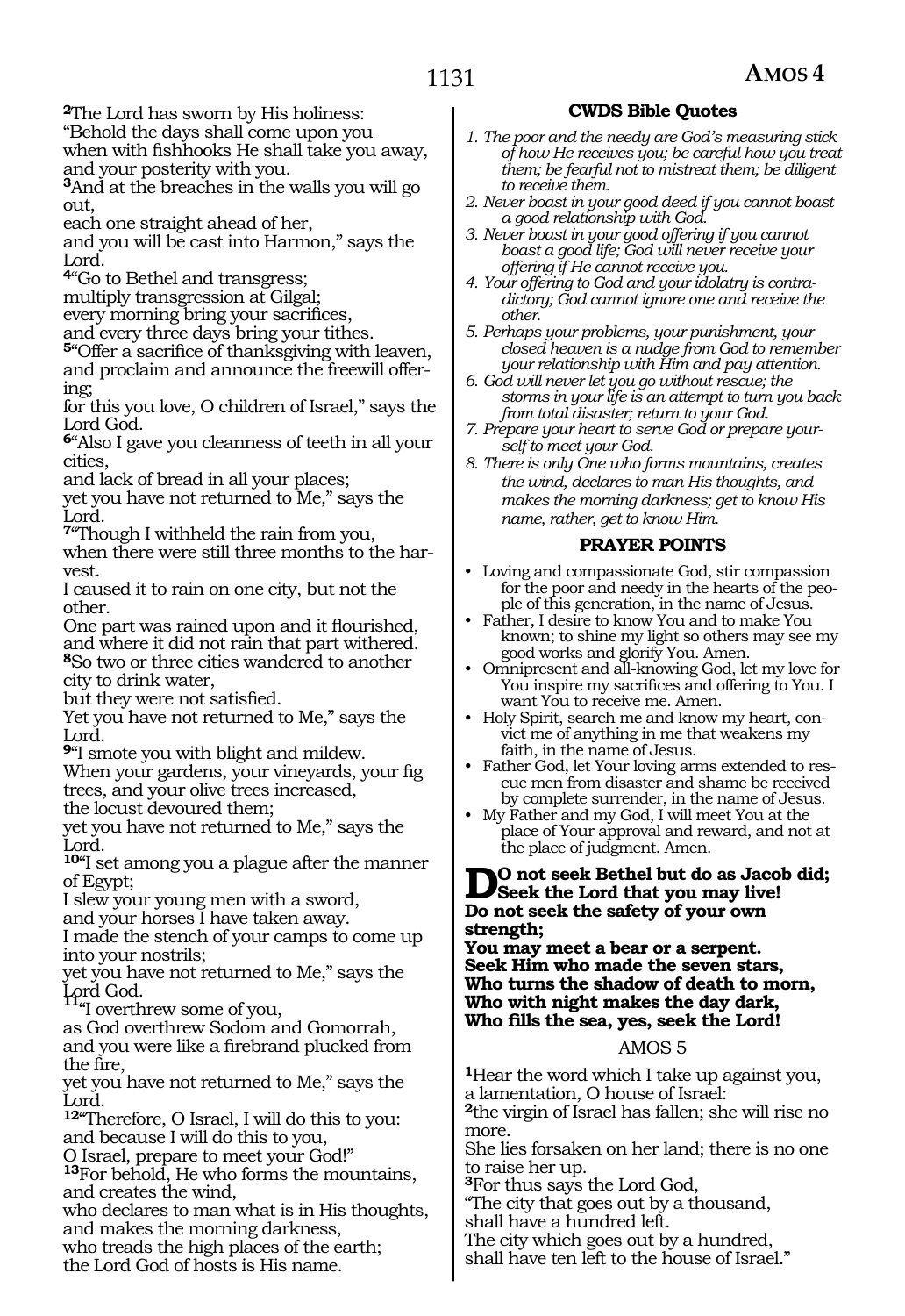**<sup>2</sup>**The Lord has sworn by His holiness:

"Behold the days shall come upon you when with fishhooks He shall take you away, and your posterity with you.

**<sup>3</sup>**And at the breaches in the walls you will go out,

each one straight ahead of her,

and you will be cast into Harmon," says the Lord.

**<sup>4</sup>**"Go to Bethel and transgress;

multiply transgression at Gilgal;

every morning bring your sacrifices,

and every three days bring your tithes.

**<sup>5</sup>**"Offer a sacrifice of thanksgiving with leaven, and proclaim and announce the freewill offering;

for this you love, O children of Israel," says the Lord God.

**<sup>6</sup>**"Also I gave you cleanness of teeth in all your cities,

and lack of bread in all your places;

yet you have not returned to Me," says the Lord.

**<sup>7</sup>**"Though I withheld the rain from you, when there were still three months to the harvest.

I caused it to rain on one city, but not the other.

One part was rained upon and it flourished, and where it did not rain that part withered. **<sup>8</sup>**So two or three cities wandered to another

city to drink water,

but they were not satisfied.

Yet you have not returned to Me," says the Lord.

**<sup>9</sup>**"I smote you with blight and mildew.

When your gardens, your vineyards, your fig trees, and your olive trees increased, the locust devoured them;

yet you have not returned to Me," says the Lord.

**<sup>10</sup>**"I set among you a plague after the manner of Egypt;

I slew your young men with a sword,

and your horses I have taken away.

I made the stench of your camps to come up into your nostrils;

yet you have not returned to Me," says the Lord God.<br> $H_{\text{eff}}^{\text{av}}$  overthrow sectors is

Lord God. **<sup>11</sup>**"I overthrew some of you,

as God overthrew Sodom and Gomorrah, and you were like a firebrand plucked from the fire,

yet you have not returned to Me," says the Lord.

**<sup>12</sup>**"Therefore, O Israel, I will do this to you: and because I will do this to you,

O Israel, prepare to meet your God!"

**<sup>13</sup>**For behold, He who forms the mountains, and creates the wind,

who declares to man what is in His thoughts, and makes the morning darkness,

who treads the high places of the earth; the Lord God of hosts is His name.

# **CWDS Bible Quotes**

- *1. The poor and the needy are God's measuring stick of how He receives you; be careful how you treat them; be fearful not to mistreat them; be diligent to receive them.*
- *2. Never boast in your good deed if you cannot boast a good relationship with God.*

*3. Never boast in your good offering if you cannot boast a good life; God will never receive your offering if He cannot receive you.*

*4. Your offering to God and your idolatry is contradictory; God cannot ignore one and receive the other.*

*5. Perhaps your problems, your punishment, your closed heaven is a nudge from God to remember your relationship with Him and pay attention.*

*6. God will never let you go without rescue; the storms in your life is an attempt to turn you back from total disaster; return to your God.*

*7. Prepare your heart to serve God or prepare yourself to meet your God.*

*8. There is only One who forms mountains, creates the wind, declares to man His thoughts, and makes the morning darkness; get to know His name, rather, get to know Him.* 

## **PRAYER POINTS**

- Loving and compassionate God, stir compassion for the poor and needy in the hearts of the people of this generation, in the name of Jesus.
- Father, I desire to know You and to make You known; to shine my light so others may see my good works and glorify You. Amen.

• Omnipresent and all-knowing God, let my love for You inspire my sacrifices and offering to You. I want You to receive me. Amen.

• Holy Spirit, search me and know my heart, convict me of anything in me that weakens my faith, in the name of Jesus.

• Father God, let Your loving arms extended to rescue men from disaster and shame be received by complete surrender, in the name of Jesus.

• My Father and my God, I will meet You at the place of Your approval and reward, and not at the place of judgment. Amen.

#### **Do not seek Bethel but do as Jacob did; Seek the Lord that you may live! Do not seek the safety of your own strength;**

**You may meet a bear or a serpent. Seek Him who made the seven stars, Who turns the shadow of death to morn, Who with night makes the day dark, Who fills the sea, yes, seek the Lord!** 

#### AMOS 5

**<sup>1</sup>**Hear the word which I take up against you, a lamentation, O house of Israel:

**<sup>2</sup>**the virgin of Israel has fallen; she will rise no more.

She lies forsaken on her land; there is no one to raise her up.

**<sup>3</sup>**For thus says the Lord God,

"The city that goes out by a thousand,

shall have a hundred left.

The city which goes out by a hundred, shall have ten left to the house of Israel."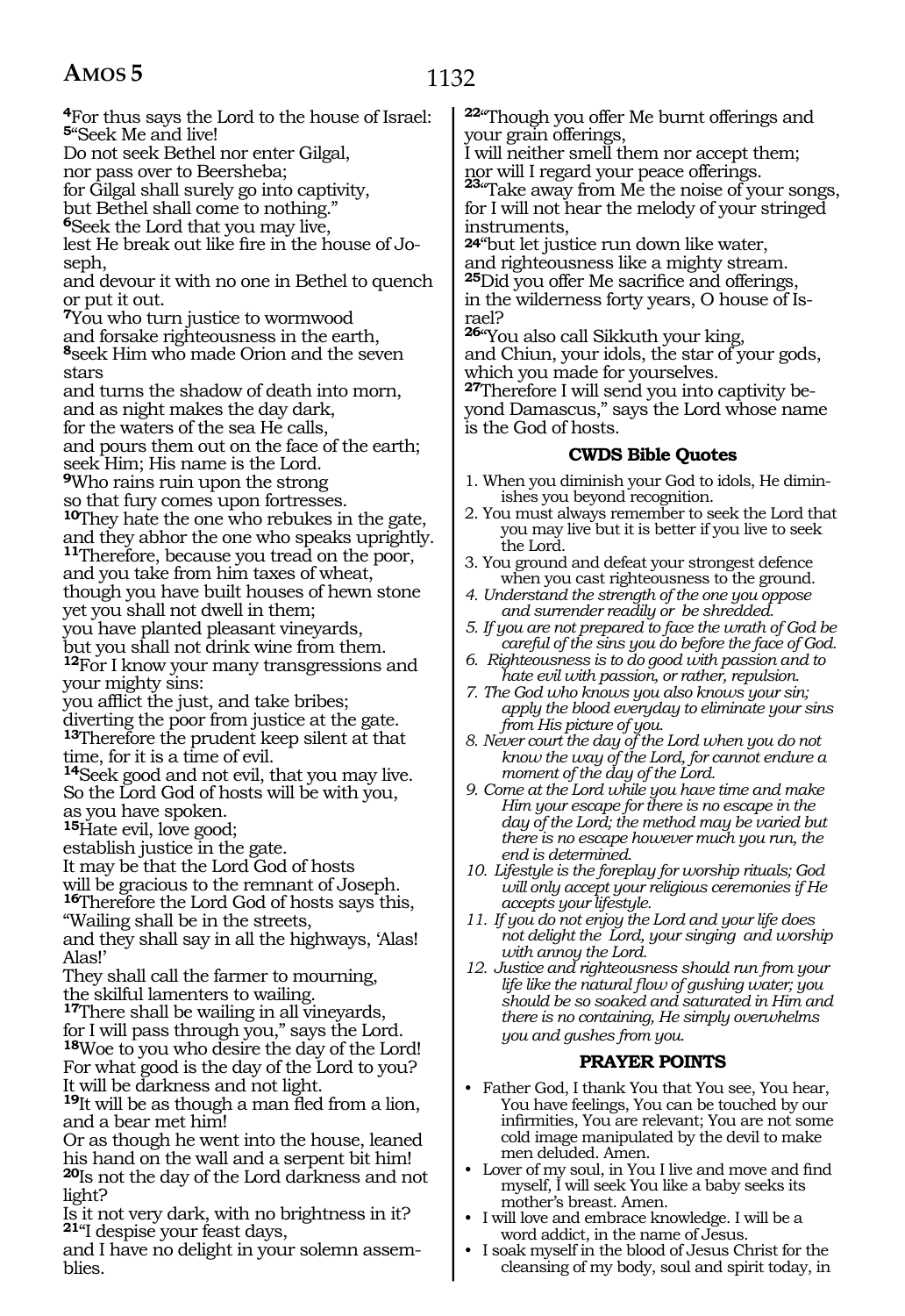blies.

# 1132

**<sup>4</sup>**For thus says the Lord to the house of Israel: **<sup>5</sup>**"Seek Me and live! Do not seek Bethel nor enter Gilgal, nor pass over to Beersheba; for Gilgal shall surely go into captivity, but Bethel shall come to nothing." **<sup>6</sup>**Seek the Lord that you may live, lest He break out like fire in the house of Joseph, and devour it with no one in Bethel to quench or put it out. **<sup>7</sup>**You who turn justice to wormwood and forsake righteousness in the earth, **<sup>8</sup>**seek Him who made Orion and the seven stars and turns the shadow of death into morn, and as night makes the day dark, for the waters of the sea He calls, and pours them out on the face of the earth; seek Him; His name is the Lord. **<sup>9</sup>**Who rains ruin upon the strong so that fury comes upon fortresses. **<sup>10</sup>**They hate the one who rebukes in the gate, and they abhor the one who speaks uprightly. **<sup>11</sup>**Therefore, because you tread on the poor, and you take from him taxes of wheat, though you have built houses of hewn stone yet you shall not dwell in them; you have planted pleasant vineyards, but you shall not drink wine from them. **<sup>12</sup>**For I know your many transgressions and your mighty sins: you afflict the just, and take bribes; diverting the poor from justice at the gate. **<sup>13</sup>**Therefore the prudent keep silent at that time, for it is a time of evil. **<sup>14</sup>**Seek good and not evil, that you may live. So the Lord God of hosts will be with you, as you have spoken. **<sup>15</sup>**Hate evil, love good; establish justice in the gate. It may be that the Lord God of hosts will be gracious to the remnant of Joseph. **<sup>16</sup>**Therefore the Lord God of hosts says this, "Wailing shall be in the streets, and they shall say in all the highways, 'Alas! Alas!' They shall call the farmer to mourning, the skilful lamenters to wailing. **<sup>17</sup>**There shall be wailing in all vineyards, for I will pass through you," says the Lord. **<sup>18</sup>**Woe to you who desire the day of the Lord! For what good is the day of the Lord to you? It will be darkness and not light. **<sup>19</sup>**It will be as though a man fled from a lion, and a bear met him! Or as though he went into the house, leaned his hand on the wall and a serpent bit him! **<sup>20</sup>**Is not the day of the Lord darkness and not light? Is it not very dark, with no brightness in it? **<sup>21</sup>**"I despise your feast days, and I have no delight in your solemn assem-

**<sup>22</sup>**"Though you offer Me burnt offerings and your grain offerings,

I will neither smell them nor accept them; nor will I regard your peace offerings. **<sup>23</sup>**"Take away from Me the noise of your songs,

for I will not hear the melody of your stringed instruments,

**24**"but let justice run down like water, and righteousness like a mighty stream. **<sup>25</sup>**Did you offer Me sacrifice and offerings, in the wilderness forty years, O house of Israel?

**<sup>26</sup>**"You also call Sikkuth your king, and Chiun, your idols, the star of your gods, which you made for yourselves.

**<sup>27</sup>**Therefore I will send you into captivity be- yond Damascus," says the Lord whose name is the God of hosts.

# **CWDS Bible Quotes**

- 1. When you diminish your God to idols, He diminishes you beyond recognition.
- 2. You must always remember to seek the Lord that you may live but it is better if you live to seek the Lord.
- 3. You ground and defeat your strongest defence when you cast righteousness to the ground.
- *4. Understand the strength of the one you oppose and surrender readily or be shredded.*
- *5. If you are not prepared to face the wrath of God be careful of the sins you do before the face of God.*
- *6. Righteousness is to do good with passion and to hate evil with passion, or rather, repulsion.*
- *7. The God who knows you also knows your sin; apply the blood everyday to eliminate your sins from His picture of you.*
- *8. Never court the day of the Lord when you do not know the way of the Lord, for cannot endure a moment of the day of the Lord.*
- *9. Come at the Lord while you have time and make Him your escape for there is no escape in the day of the Lord; the method may be varied but there is no escape however much you run, the end is determined.*
- *10. Lifestyle is the foreplay for worship rituals; God will only accept your religious ceremonies if He accepts your lifestyle.*
- *11. If you do not enjoy the Lord and your life does not delight the Lord, your singing and worship with annoy the Lord.*
- *12. Justice and righteousness should run from your life like the natural flow of gushing water; you should be so soaked and saturated in Him and there is no containing, He simply overwhelms you and gushes from you.*

#### **PRAYER POINTS**

- Father God, I thank You that You see, You hear, You have feelings, You can be touched by our infirmities, You are relevant; You are not some cold image manipulated by the devil to make men deluded. Amen.
- Lover of my soul, in You I live and move and find myself, I will seek You like a baby seeks its mother's breast. Amen.
- I will love and embrace knowledge. I will be a word addict, in the name of Jesus.
- I soak myself in the blood of Jesus Christ for the cleansing of my body, soul and spirit today, in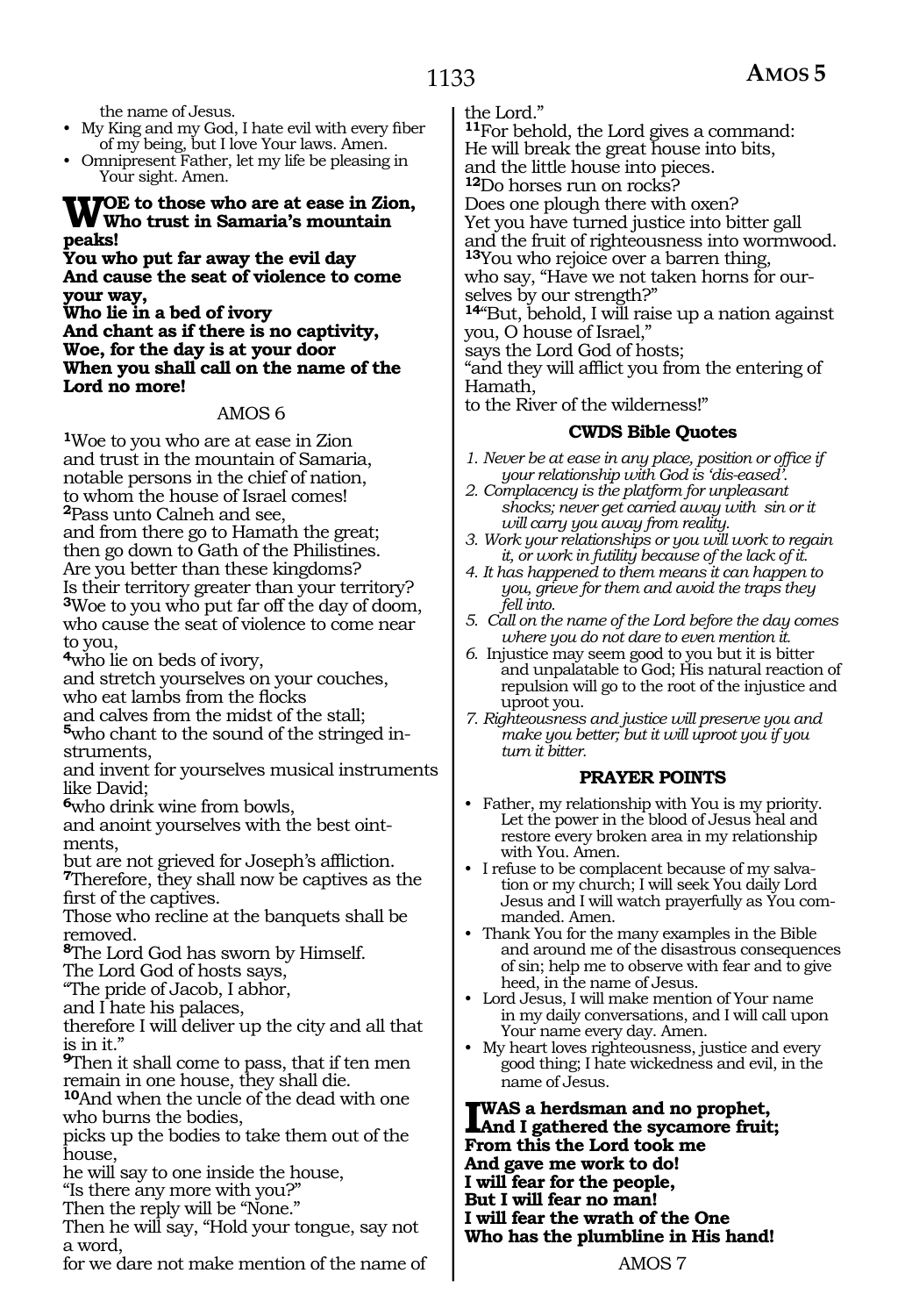the name of Jesus.

• My King and my God, I hate evil with every fiber of my being, but I love Your laws. Amen.

• Omnipresent Father, let my life be pleasing in Your sight. Amen.

# **Woe to those who are at ease in Zion, Who trust in Samaria's mountain peaks!**

**You who put far away the evil day And cause the seat of violence to come your way,**

**Who lie in a bed of ivory And chant as if there is no captivity, Woe, for the day is at your door When you shall call on the name of the Lord no more!**

#### AMOS 6

**<sup>1</sup>**Woe to you who are at ease in Zion and trust in the mountain of Samaria, notable persons in the chief of nation, to whom the house of Israel comes! **<sup>2</sup>**Pass unto Calneh and see, and from there go to Hamath the great; then go down to Gath of the Philistines. Are you better than these kingdoms? Is their territory greater than your territory? **<sup>3</sup>**Woe to you who put far off the day of doom, who cause the seat of violence to come near to you,

**<sup>4</sup>**who lie on beds of ivory,

and stretch yourselves on your couches, who eat lambs from the flocks

and calves from the midst of the stall; **5**who chant to the sound of the stringed instruments,

and invent for yourselves musical instruments like David;

**<sup>6</sup>**who drink wine from bowls,

and anoint yourselves with the best oint- ments,

but are not grieved for Joseph's affliction. **<sup>7</sup>**Therefore, they shall now be captives as the first of the captives.

Those who recline at the banquets shall be removed.

**<sup>8</sup>**The Lord God has sworn by Himself. The Lord God of hosts says,

"The pride of Jacob, I abhor,

and I hate his palaces,

therefore I will deliver up the city and all that is in it."

**<sup>9</sup>**Then it shall come to pass, that if ten men remain in one house, they shall die.

**<sup>10</sup>**And when the uncle of the dead with one who burns the bodies,

picks up the bodies to take them out of the house,

he will say to one inside the house,

"Is there any more with you?"

Then the reply will be "None."

Then he will say, "Hold your tongue, say not a word,

for we dare not make mention of the name of

the Lord."

**<sup>11</sup>**For behold, the Lord gives a command: He will break the great house into bits, and the little house into pieces.

**<sup>12</sup>**Do horses run on rocks?

Does one plough there with oxen?

Yet you have turned justice into bitter gall and the fruit of righteousness into wormwood. **<sup>13</sup>**You who rejoice over a barren thing,

who say, "Have we not taken horns for ourselves by our strength?"

**<sup>14</sup>**"But, behold, I will raise up a nation against you, O house of Israel,"

says the Lord God of hosts;

"and they will afflict you from the entering of Hamath,

to the River of the wilderness!"

#### **CWDS Bible Quotes**

- *1. Never be at ease in any place, position or office if your relationship with God is 'dis-eased'.*
- *2. Complacency is the platform for unpleasant shocks; never get carried away with sin or it will carry you away from reality.*
- *3. Work your relationships or you will work to regain it, or work in futility because of the lack of it.*
- *4. It has happened to them means it can happen to you, grieve for them and avoid the traps they fell into.*
- *5. Call on the name of the Lord before the day comes where you do not dare to even mention it.*
- *6.* Injustice may seem good to you but it is bitter and unpalatable to God; His natural reaction of repulsion will go to the root of the injustice and uproot you.
- *7. Righteousness and justice will preserve you and make you better; but it will uproot you if you turn it bitter.*

# **PRAYER POINTS**

- Father, my relationship with You is my priority. Let the power in the blood of Jesus heal and restore every broken area in my relationship with You. Amen.
- I refuse to be complacent because of my salvation or my church; I will seek You daily Lord Jesus and I will watch prayerfully as You commanded. Amen.
- Thank You for the many examples in the Bible and around me of the disastrous consequences of sin; help me to observe with fear and to give heed, in the name of Jesus.
- Lord Jesus, I will make mention of Your name in my daily conversations, and I will call upon Your name every day. Amen.
- My heart loves righteousness, justice and every good thing; I hate wickedness and evil, in the name of Jesus.

**I was a herdsman and no prophet, And I gathered the sycamore fruit; From this the Lord took me And gave me work to do! I will fear for the people, But I will fear no man! I will fear the wrath of the One Who has the plumbline in His hand!**

AMOS 7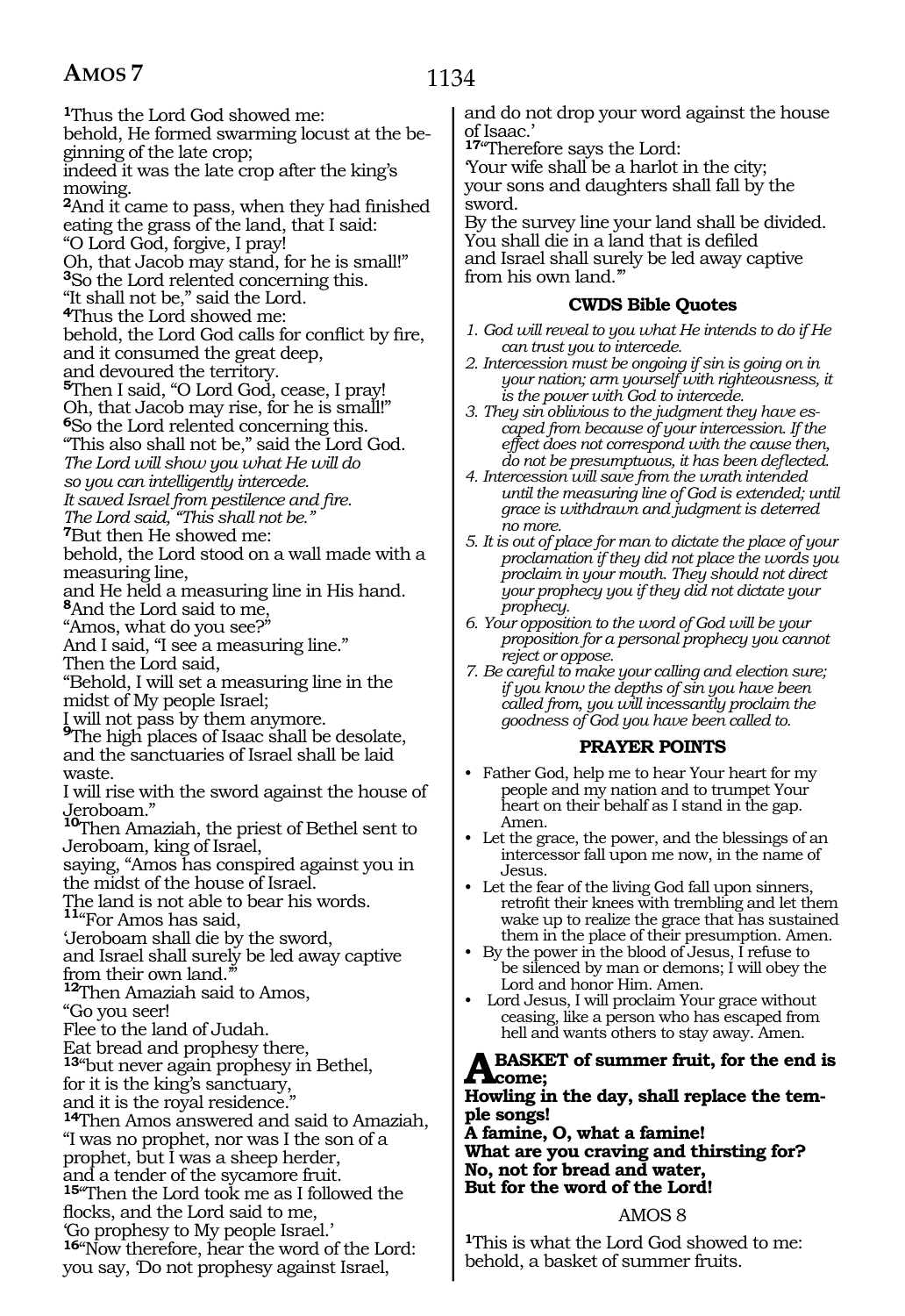**<sup>1</sup>**Thus the Lord God showed me: behold, He formed swarming locust at the beginning of the late crop; indeed it was the late crop after the king's mowing. **<sup>2</sup>**And it came to pass, when they had finished eating the grass of the land, that I said: "O Lord God, forgive, I pray! Oh, that Jacob may stand, for he is small!" **<sup>3</sup>**So the Lord relented concerning this. "It shall not be," said the Lord. **<sup>4</sup>**Thus the Lord showed me: behold, the Lord God calls for conflict by fire, and it consumed the great deep, and devoured the territory. **<sup>5</sup>**Then I said, "O Lord God, cease, I pray! Oh, that Jacob may rise, for he is small!" **<sup>6</sup>**So the Lord relented concerning this. "This also shall not be," said the Lord God. *The Lord will show you what He will do so you can intelligently intercede. It saved Israel from pestilence and fire. The Lord said, "This shall not be."* **<sup>7</sup>**But then He showed me: behold, the Lord stood on a wall made with a measuring line, and He held a measuring line in His hand. **<sup>8</sup>**And the Lord said to me, "Amos, what do you see?" And I said, "I see a measuring line." Then the Lord said, "Behold, I will set a measuring line in the midst of My people Israel; I will not pass by them anymore. **9**The high places of Isaac shall be desolate, and the sanctuaries of Israel shall be laid waste. I will rise with the sword against the house of Jeroboam." **<sup>10</sup>**Then Amaziah, the priest of Bethel sent to Jeroboam, king of Israel, saying, "Amos has conspired against you in the midst of the house of Israel. The land is not able to bear his words. **<sup>11</sup>**"For Amos has said, 'Jeroboam shall die by the sword, and Israel shall surely be led away captive from their own land.'" **<sup>12</sup>**Then Amaziah said to Amos, "Go you seer! Flee to the land of Judah. Eat bread and prophesy there, **<sup>13</sup>**"but never again prophesy in Bethel, for it is the king's sanctuary, and it is the royal residence. **<sup>14</sup>**Then Amos answered and said to Amaziah, "I was no prophet, nor was I the son of a prophet, but I was a sheep herder, and a tender of the sycamore fruit. **<sup>15</sup>**"Then the Lord took me as I followed the flocks, and the Lord said to me, 'Go prophesy to My people Israel.' **<sup>16</sup>**"Now therefore, hear the word of the Lord: you say, 'Do not prophesy against Israel,

and do not drop your word against the house of Isaac.'

**<sup>17</sup>**"Therefore says the Lord:

'Your wife shall be a harlot in the city; your sons and daughters shall fall by the sword.

By the survey line your land shall be divided. You shall die in a land that is defiled and Israel shall surely be led away captive from his own land.'"

# **CWDS Bible Quotes**

- *1. God will reveal to you what He intends to do if He can trust you to intercede.*
- *2. Intercession must be ongoing if sin is going on in your nation; arm yourself with righteousness, it is the power with God to intercede.*
- *3. They sin oblivious to the judgment they have escaped from because of your intercession. If the effect does not correspond with the cause then, do not be presumptuous, it has been deflected.*
- *4. Intercession will save from the wrath intended until the measuring line of God is extended; until grace is withdrawn and judgment is deterred no more.*
- *5. It is out of place for man to dictate the place of your proclamation if they did not place the words you proclaim in your mouth. They should not direct your prophecy you if they did not dictate your prophecy.*
- *6. Your opposition to the word of God will be your proposition for a personal prophecy you cannot reject or oppose.*
- *7. Be careful to make your calling and election sure; if you know the depths of sin you have been called from, you will incessantly proclaim the goodness of God you have been called to.*

#### **PRAYER POINTS**

- Father God, help me to hear Your heart for my people and my nation and to trumpet Your heart on their behalf as I stand in the gap. Amen.
- Let the grace, the power, and the blessings of an intercessor fall upon me now, in the name of Jesus.
- Let the fear of the living God fall upon sinners, retrofit their knees with trembling and let them wake up to realize the grace that has sustained them in the place of their presumption. Amen.
- By the power in the blood of Jesus, I refuse to be silenced by man or demons; I will obey the Lord and honor Him. Amen.
- Lord Jesus, I will proclaim Your grace without ceasing, like a person who has escaped from hell and wants others to stay away. Amen.

#### **A BASKET of summer fruit, for the end is A come: come;**

**Howling in the day, shall replace the temple songs!**

**A famine, O, what a famine! What are you craving and thirsting for? No, not for bread and water, But for the word of the Lord!**

#### AMOS 8

**<sup>1</sup>**This is what the Lord God showed to me: behold, a basket of summer fruits.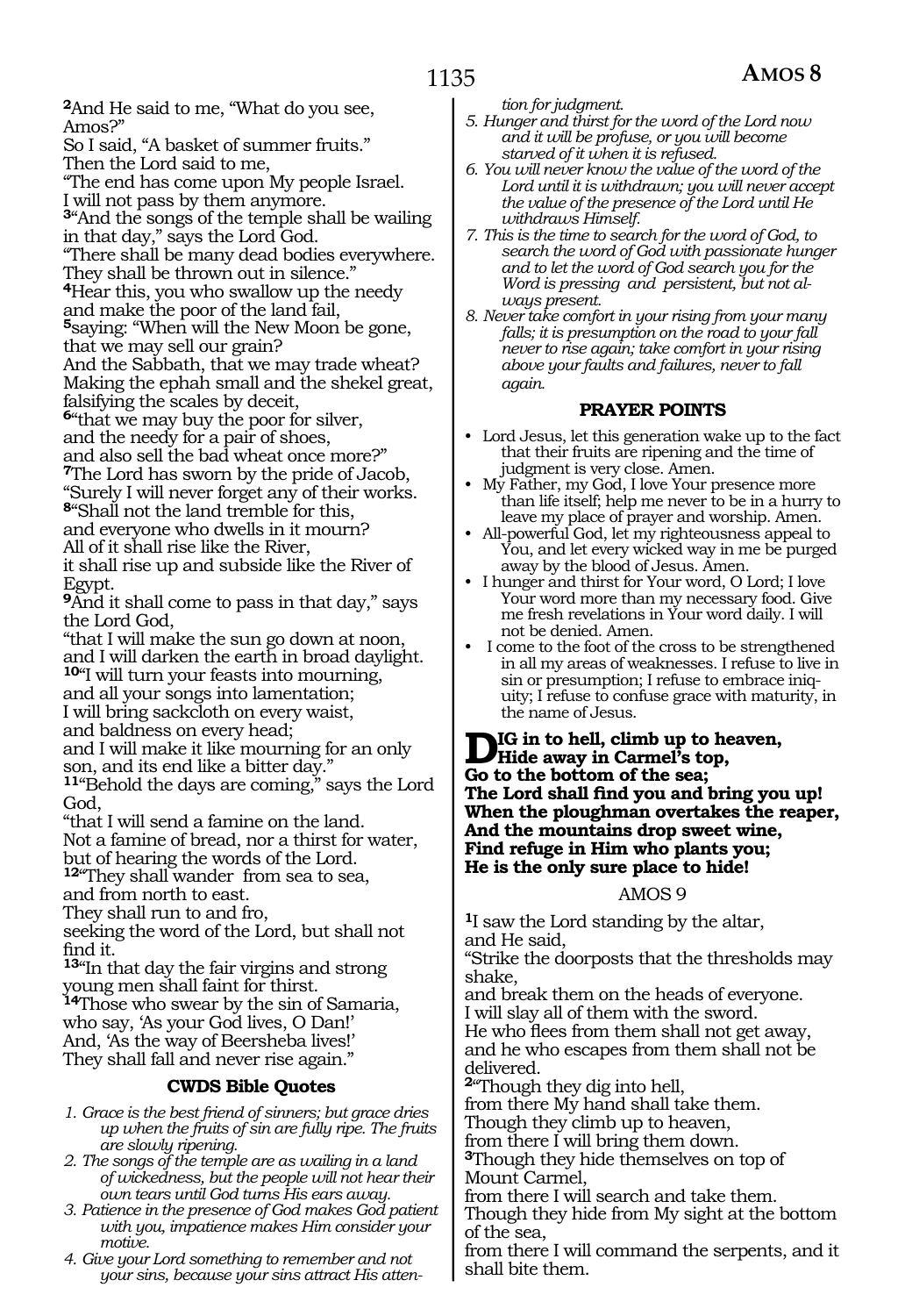**<sup>2</sup>**And He said to me, "What do you see, Amos?"

So I said, "A basket of summer fruits." Then the Lord said to me,

"The end has come upon My people Israel.

I will not pass by them anymore. **<sup>3</sup>**"And the songs of the temple shall be wailing

in that day," says the Lord God. "There shall be many dead bodies everywhere.

They shall be thrown out in silence."

**<sup>4</sup>**Hear this, you who swallow up the needy

and make the poor of the land fail, **<sup>5</sup>**saying: "When will the New Moon be gone,

that we may sell our grain?

And the Sabbath, that we may trade wheat? Making the ephah small and the shekel great, falsifying the scales by deceit,

**<sup>6</sup>**"that we may buy the poor for silver,

and the needy for a pair of shoes,

and also sell the bad wheat once more?" **<sup>7</sup>**The Lord has sworn by the pride of Jacob, "Surely I will never forget any of their works. **<sup>8</sup>**"Shall not the land tremble for this, and everyone who dwells in it mourn? All of it shall rise like the River,

it shall rise up and subside like the River of Egypt.

**<sup>9</sup>**And it shall come to pass in that day," says the Lord God,

"that I will make the sun go down at noon, and I will darken the earth in broad daylight. **<sup>10</sup>**"I will turn your feasts into mourning, and all your songs into lamentation; I will bring sackcloth on every waist,

and baldness on every head;

and I will make it like mourning for an only son, and its end like a bitter day."

**<sup>11</sup>**"Behold the days are coming," says the Lord God,

"that I will send a famine on the land. Not a famine of bread, nor a thirst for water,

but of hearing the words of the Lord.

**<sup>12</sup>**"They shall wander from sea to sea,

and from north to east.

They shall run to and fro,

seeking the word of the Lord, but shall not find it.

**<sup>13</sup>**"In that day the fair virgins and strong young men shall faint for thirst.

**<sup>14</sup>**Those who swear by the sin of Samaria, who say, 'As your God lives, O Dan!' And, 'As the way of Beersheba lives!' They shall fall and never rise again."

# **CWDS Bible Quotes**

- *1. Grace is the best friend of sinners; but grace dries up when the fruits of sin are fully ripe. The fruits are slowly ripening.*
- *2. The songs of the temple are as wailing in a land of wickedness, but the people will not hear their own tears until God turns His ears away.*
- *3. Patience in the presence of God makes God patient with you, impatience makes Him consider your motive.*
- *4. Give your Lord something to remember and not your sins, because your sins attract His atten-*

*tion for judgment.*

- *5. Hunger and thirst for the word of the Lord now and it will be profuse, or you will become starved of it when it is refused.*
- *6. You will never know the value of the word of the Lord until it is withdrawn; you will never accept the value of the presence of the Lord until He withdraws Himself.*
- *7. This is the time to search for the word of God, to search the word of God with passionate hunger and to let the word of God search you for the Word is pressing and persistent, but not always present.*
- *8. Never take comfort in your rising from your many falls; it is presumption on the road to your fall never to rise again; take comfort in your rising above your faults and failures, never to fall again.*

# **PRAYER POINTS**

- Lord Jesus, let this generation wake up to the fact that their fruits are ripening and the time of judgment is very close. Amen.
- My Father, my God, I love Your presence more than life itself; help me never to be in a hurry to leave my place of prayer and worship. Amen.
- All-powerful God, let my righteousness appeal to You, and let every wicked way in me be purged away by the blood of Jesus. Amen.
- I hunger and thirst for Your word, O Lord; I love Your word more than my necessary food. Give me fresh revelations in Your word daily. I will not be denied. Amen.
- I come to the foot of the cross to be strengthened in all my areas of weaknesses. I refuse to live in sin or presumption; I refuse to embrace iniquity; I refuse to confuse grace with maturity, in the name of Jesus.

**Dig in to hell, climb up to heaven, Hide away in Carmel's top, Go to the bottom of the sea; The Lord shall find you and bring you up! When the ploughman overtakes the reaper, And the mountains drop sweet wine, Find refuge in Him who plants you; He is the only sure place to hide!**

#### AMOS 9

**<sup>1</sup>**I saw the Lord standing by the altar, and He said,

"Strike the doorposts that the thresholds may shake,

and break them on the heads of everyone. I will slay all of them with the sword.

He who flees from them shall not get away, and he who escapes from them shall not be delivered.

**<sup>2</sup>**"Though they dig into hell,

from there My hand shall take them.

Though they climb up to heaven,

from there I will bring them down.

**<sup>3</sup>**Though they hide themselves on top of Mount Carmel,

from there I will search and take them.

Though they hide from My sight at the bottom of the sea,

from there I will command the serpents, and it shall bite them.